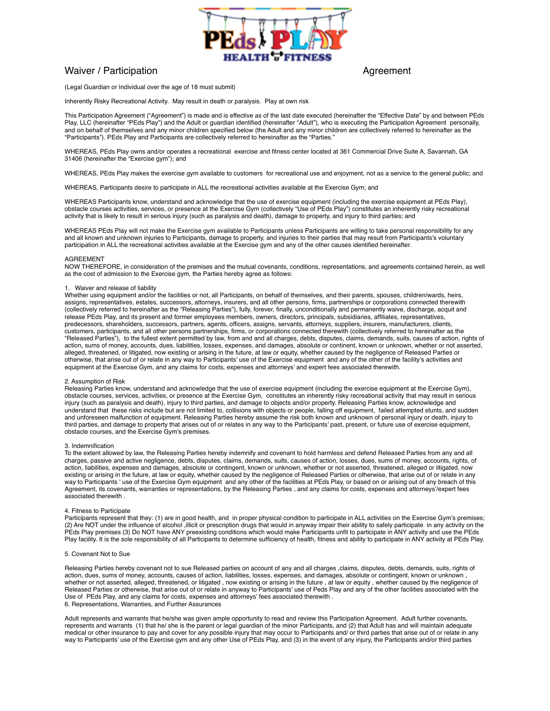

# Waiver / Participation **Agreement** Agreement

(Legal Guardian or Individual over the age of 18 must submit)

Inherently Risky Recreational Activity. May result in death or paralysis. Play at own risk

This Participation Agreement ("Agreement") is made and is effective as of the last date executed (hereinafter the "Effective Date" by and between PEds Play, LLC (hereinafter "PEds Play") and the Adult or guardian identified (hereinafter "Adult"), who is executing the Participation Agreement personally, and on behalf of themselves and any minor children specified below (the Adult and any minor children are collectively referred to hereinafter as the "Participants"). PEds Play and Participants are collectively referred to hereinafter as the "Parties."

WHEREAS, PEds Play owns and/or operates a recreational exercise and fitness center located at 361 Commercial Drive Suite A, Savannah, GA 31406 (hereinafter the "Exercise gym"); and

WHEREAS, PEds Play makes the exercise gym available to customers for recreational use and enjoyment, not as a service to the general public; and

WHEREAS, Participants desire to participate in ALL the recreational activities available at the Exercise Gym; and

WHEREAS Participants know, understand and acknowledge that the use of exercise equipment (including the exercise equipment at PEds Play), obstacle courses activities, services, or presence at the Exercise Gym (collectively "Use of PEds Play") constitutes an inherently risky recreational activity that is likely to result in serious injury (such as paralysis and death), damage to property, and injury to third parties; and

WHEREAS PEds Play will not make the Exercise gym available to Participants unless Participants are willing to take personal responsibility for any and all known and unknown injuries to Participants, damage to property, and injuries to their parties that may result from Participants's voluntary participation in ALL the recreational activities available at the Exercise gym and any of the other causes identified hereinafter.

#### AGREEMENT

NOW THEREFORE, in consideration of the premises and the mutual covenants, conditions, representations, and agreements contained herein, as well as the cost of admission to the Exercise gym, the Parties hereby agree as follows:

# 1. Waiver and release of liability

Whether using equipment and/or the facilities or not, all Participants, on behalf of themselves, and their parents, spouses, children/wards, heirs, assigns, representatives, estates, successors, attorneys, insurers, and all other persons, firms, partnerships or corporations connected therewith (collectively referred to hereinafter as the "Releasing Parties"), fully, forever, finally, unconditionally and permanently waive, discharge, acquit and release PEds Play, and its present and former employees members, owners, directors, principals, subsidiaries, affiliates, representatives, predecessors, shareholders, successors, partners, agents, officers, assigns, servants, attorneys, suppliers, insurers, manufacturers, clients, customers, participants, and all other persons partnerships, firms, or corporations connected therewith (collectively referred to hereinafter as the "Released Parties"), to the fullest extent permitted by law, from and and all charges, debts, disputes, claims, demands, suits, causes of action, rights of action, sums of money, accounts, dues, liabilities, losses, expenses, and damages, absolute or continent, known or unknown, whether or not asserted, alleged, threatened, or litigated, now existing or arising in the future, at law or equity, whether caused by the negligence of Released Parties or otherwise, that arise out of or relate in any way to Participants' use of the Exercise equipment and any of the other of the facility's activities and equipment at the Exercise Gym, and any claims for costs, expenses and attorneys' and expert fees associated therewith.

# 2. Assumption of Risk

Releasing Parties know, understand and acknowledge that the use of exercise equipment (including the exercise equipment at the Exercise Gym), obstacle courses, services, activities, or presence at the Exercise Gym, constitutes an inherently risky recreational activity that may result in serious injury (such as paralysis and death), injury to third parties, and damage to objects and/or property. Releasing Parties know, acknowledge and understand that these risks include but are not limited to, collisions with objects or people, falling off equipment, failed attempted stunts, and sudden and unforeseen malfunction of equipment. Releasing Parties hereby assume the risk both known and unknown of personal injury or death, injury to third parties, and damage to property that arises out of or relates in any way to the Participants' past, present, or future use of exercise equipment, obstacle courses, and the Exercise Gym's premises.

### 3. Indemnification

To the extent allowed by law, the Releasing Parties hereby indemnify and covenant to hold harmless and defend Released Parties from any and all charges, passive and active negligence, debts, disputes, claims, demands, suits, causes of action, losses, dues, sums of money, accounts, rights, of action, liabilities, expenses and damages, absolute or contingent, known or unknown, whether or not asserted, threatened, alleged or litigated, now existing or arising in the future, at law or equity, whether caused by the negligence of Released Parties or otherwise, that arise out of or relate in any way to Participants ' use of the Exercise Gym equipment and any other of the facilities at PEds Play, or based on or arising out of any breach of this Agreement, its covenants, warranties or representations, by the Releasing Parties , and any claims for costs, expenses and attorneys'/expert fees associated therewith .

### 4. Fitness to Participate

Participants represent that they: (1) are in good health, and in proper physical condition to participate in ALL activities on the Exercise Gym's premises; (2) Are NOT under the influence of alcohol ,illicit or prescription drugs that would in anyway impair their ability to safely participate in any activity on the PEds Play premises (3) Do NOT have ANY preexisting conditions which would make Participants unfit to participate in ANY activity and use the PEds Play facility. It is the sole responsibility of all Participants to determine sufficiency of health, fitness and ability to participate in ANY activity at PEds Play.

# 5. Covenant Not to Sue

Releasing Parties hereby covenant not to sue Released parties on account of any and all charges ,claims, disputes, debts, demands, suits, rights of action, dues, sums of money, accounts, causes of action, liabilities, losses, expenses, and damages, absolute or contingent, known or unknown , whether or not asserted, alleged, threatened, or litigated , now existing or arising in the future , at law or equity , whether caused by the negligence of Released Parties or otherwise, that arise out of or relate in anyway to Participants' use of Peds Play and any of the other facilities associated with the Use of PEds Play, and any claims for costs, expenses and attorneys' fees associated therewith . 6. Representations, Warranties, and Further Assurances

Adult represents and warrants that he/she was given ample opportunity to read and review this Participation Agreement. Adult further covenants, represents and warrants (1) that he/ she is the parent or legal guardian of the minor Participants, and (2) that Adult has and will maintain adequate medical or other insurance to pay and cover for any possible injury that may occur to Participants and/ or third parties that arise out of or relate in any way to Participants' use of the Exercise gym and any other Use of PEds Play, and (3) in the event of any injury, the Participants and/or third parties